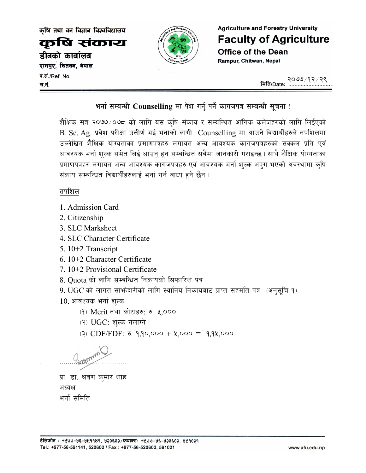कृषि तथा वन विज्ञान विश्वविद्यालय

कर्षि संकाय डीनको कार्यालय

रामपुर, चितवन, नेपाल

प.सं./Ref. No. च.नं

**Agriculture and Forestry University Faculty of Agriculture Office of the Dean** Rampur, Chitwan, Nepal

@)&&÷!@÷@(

## भर्ना सम्बन्धी Counselling मा पेश गर्नु पर्ने कागजपत्र सम्बन्धी सूचना !

शैक्षिक सत्र २०७७/०७८ को लागि यस कृषि संकाय र सम्बन्धित आंगिक कलेजहरुको लागि लिईएको B. Sc. Ag. प्रवेश परीक्षा उत्तीर्ण भई भर्नाको लागी Counselling मा आउने विद्यार्थीहरुले तपशिलमा उल्लेखित शैक्षिक योग्यताका प्रमाणपत्रहरु लगायत अन्य आवश्यक कागजपत्रहरुको सक्कल प्रति एवं आवश्यक भर्ना शुल्क समेत लिई आउनु हुन सम्बन्धित सबैमा जानकारी गराइन्छ। साथै शैक्षिक योग्यताका प्रमाणपत्रहरु लगायत अन्य आवश्यक कागजपत्रहरु एवं आवश्यक भर्ना शुल्क अपुग भएको अवस्थामा कुषि संकाय सम्बन्धित विद्यार्थीहरुलाई भर्ना गर्न बाध्य हुने छैन ।

## तपशिल

- 1. Admission Card
- 2. Citizenship
- 3. SLC Marksheet
- 4. SLC Character Certificate
- 5. 10+2 Transcript
- 6. 10+2 Character Certificate
- 7. 10+2 Provisional Certificate
- 
- 8. Quota को लागि सम्बन्धित निकायको सिफारिश पत्र<br>9. UGC को लागत साभ्रेदारीको लागि स्थानिय निकायबाट प्राप्त सहमति पत्र (अनुसूचि १)<br>10. आवश्यक भर्ना शुल्क:
- - (१) Merit तथा कोटाहरु: रु. ५,०००
	- (२) UGC: शल्क नलाग्ने
	- (३) CDF/FDF: रु. १,१०,००० + ५,००० = १,१५,०००

= ================================= kf|= 8f= >j0f s'df/ zfx

अध्यक्ष भर्ना समिति